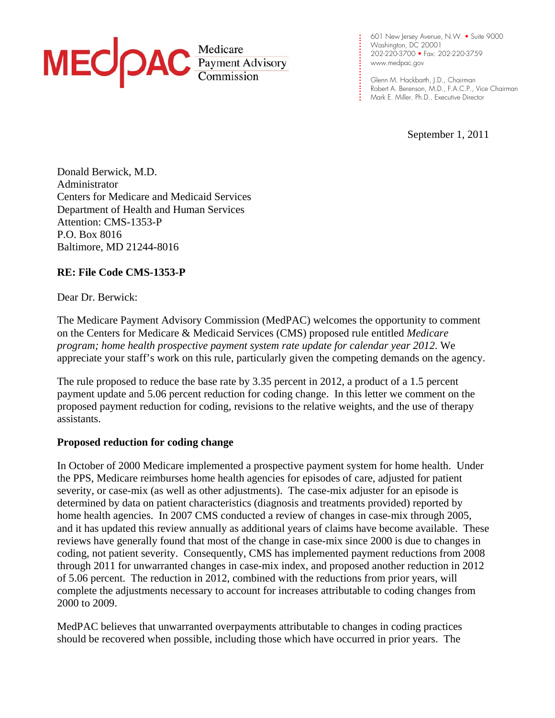

**. . .**  www.medpac.gov 601 New Jersey Avenue, N.W. • Suite 9000 Washington, DC 20001 202-220-3700 • Fax: 202-220-3759

**. . . . . . . . . .** 

**. . . . . . .**  Glenn M. Hackbarth, J.D., Chairman **. . . .** Mark E. Miller, Ph.D., Executive DirectorRobert A. Berenson, M.D., F.A.C.P., Vice Chairman

September 1, 2011

Donald Berwick, M.D. Administrator Centers for Medicare and Medicaid Services Department of Health and Human Services Attention: CMS-1353-P P.O. Box 8016 Baltimore, MD 21244-8016

# **RE: File Code CMS-1353-P**

Dear Dr. Berwick:

The Medicare Payment Advisory Commission (MedPAC) welcomes the opportunity to comment on the Centers for Medicare & Medicaid Services (CMS) proposed rule entitled *Medicare program; home health prospective payment system rate update for calendar year 2012*. We appreciate your staff's work on this rule, particularly given the competing demands on the agency.

The rule proposed to reduce the base rate by 3.35 percent in 2012, a product of a 1.5 percent payment update and 5.06 percent reduction for coding change. In this letter we comment on the proposed payment reduction for coding, revisions to the relative weights, and the use of therapy assistants.

# **Proposed reduction for coding change**

In October of 2000 Medicare implemented a prospective payment system for home health. Under the PPS, Medicare reimburses home health agencies for episodes of care, adjusted for patient severity, or case-mix (as well as other adjustments). The case-mix adjuster for an episode is determined by data on patient characteristics (diagnosis and treatments provided) reported by home health agencies. In 2007 CMS conducted a review of changes in case-mix through 2005, and it has updated this review annually as additional years of claims have become available. These reviews have generally found that most of the change in case-mix since 2000 is due to changes in coding, not patient severity. Consequently, CMS has implemented payment reductions from 2008 through 2011 for unwarranted changes in case-mix index, and proposed another reduction in 2012 of 5.06 percent. The reduction in 2012, combined with the reductions from prior years, will complete the adjustments necessary to account for increases attributable to coding changes from 2000 to 2009.

MedPAC believes that unwarranted overpayments attributable to changes in coding practices should be recovered when possible, including those which have occurred in prior years. The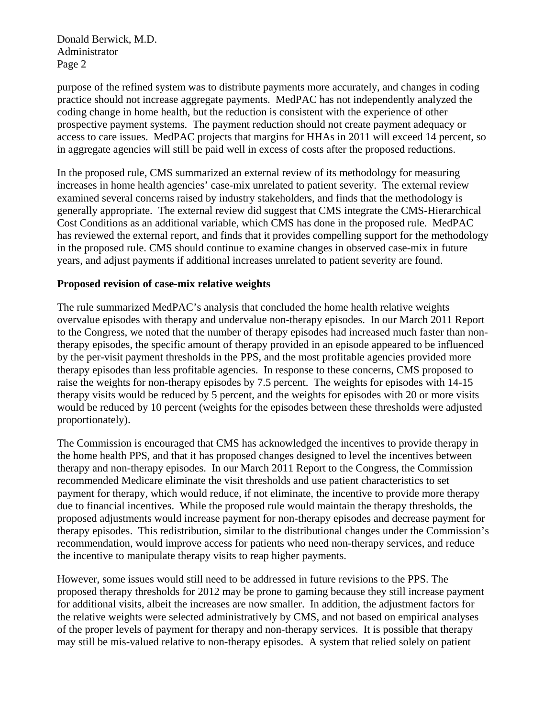Donald Berwick, M.D. Administrator Page 2

purpose of the refined system was to distribute payments more accurately, and changes in coding practice should not increase aggregate payments. MedPAC has not independently analyzed the coding change in home health, but the reduction is consistent with the experience of other prospective payment systems. The payment reduction should not create payment adequacy or access to care issues. MedPAC projects that margins for HHAs in 2011 will exceed 14 percent, so in aggregate agencies will still be paid well in excess of costs after the proposed reductions.

In the proposed rule, CMS summarized an external review of its methodology for measuring increases in home health agencies' case-mix unrelated to patient severity. The external review examined several concerns raised by industry stakeholders, and finds that the methodology is generally appropriate. The external review did suggest that CMS integrate the CMS-Hierarchical Cost Conditions as an additional variable, which CMS has done in the proposed rule. MedPAC has reviewed the external report, and finds that it provides compelling support for the methodology in the proposed rule. CMS should continue to examine changes in observed case-mix in future years, and adjust payments if additional increases unrelated to patient severity are found.

### **Proposed revision of case-mix relative weights**

The rule summarized MedPAC's analysis that concluded the home health relative weights overvalue episodes with therapy and undervalue non-therapy episodes. In our March 2011 Report to the Congress, we noted that the number of therapy episodes had increased much faster than nontherapy episodes, the specific amount of therapy provided in an episode appeared to be influenced by the per-visit payment thresholds in the PPS, and the most profitable agencies provided more therapy episodes than less profitable agencies. In response to these concerns, CMS proposed to raise the weights for non-therapy episodes by 7.5 percent. The weights for episodes with 14-15 therapy visits would be reduced by 5 percent, and the weights for episodes with 20 or more visits would be reduced by 10 percent (weights for the episodes between these thresholds were adjusted proportionately).

The Commission is encouraged that CMS has acknowledged the incentives to provide therapy in the home health PPS, and that it has proposed changes designed to level the incentives between therapy and non-therapy episodes. In our March 2011 Report to the Congress, the Commission recommended Medicare eliminate the visit thresholds and use patient characteristics to set payment for therapy, which would reduce, if not eliminate, the incentive to provide more therapy due to financial incentives. While the proposed rule would maintain the therapy thresholds, the proposed adjustments would increase payment for non-therapy episodes and decrease payment for therapy episodes. This redistribution, similar to the distributional changes under the Commission's recommendation, would improve access for patients who need non-therapy services, and reduce the incentive to manipulate therapy visits to reap higher payments.

However, some issues would still need to be addressed in future revisions to the PPS. The proposed therapy thresholds for 2012 may be prone to gaming because they still increase payment for additional visits, albeit the increases are now smaller. In addition, the adjustment factors for the relative weights were selected administratively by CMS, and not based on empirical analyses of the proper levels of payment for therapy and non-therapy services. It is possible that therapy may still be mis-valued relative to non-therapy episodes. A system that relied solely on patient